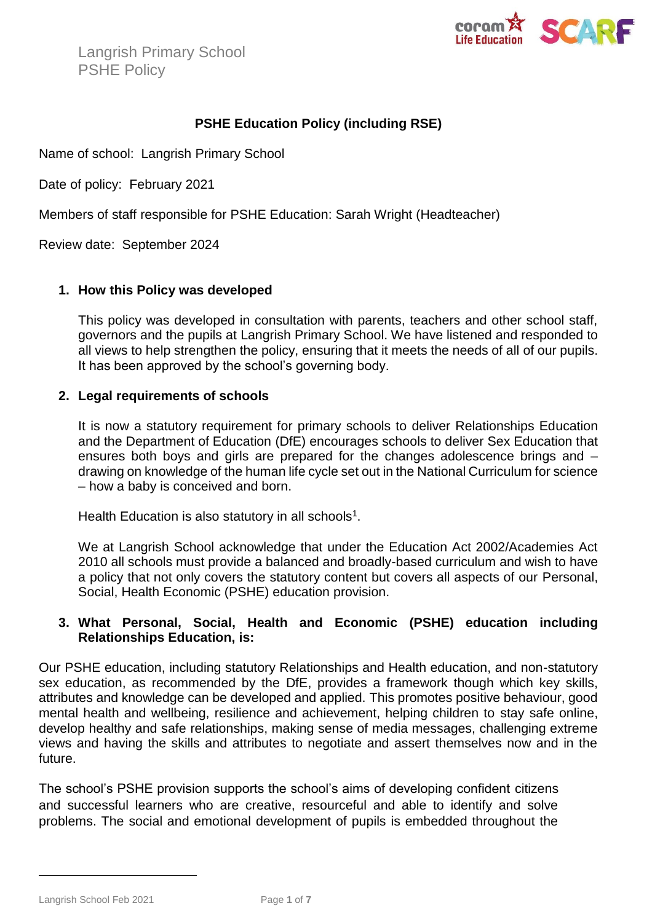

# **PSHE Education Policy (including RSE)**

Name of school: Langrish Primary School

Date of policy: February 2021

Members of staff responsible for PSHE Education: Sarah Wright (Headteacher)

Review date: September 2024

## **1. How this Policy was developed**

This policy was developed in consultation with parents, teachers and other school staff, governors and the pupils at Langrish Primary School. We have listened and responded to all views to help strengthen the policy, ensuring that it meets the needs of all of our pupils. It has been approved by the school's governing body.

### **2. Legal requirements of schools**

It is now a statutory requirement for primary schools to deliver Relationships Education and the Department of Education (DfE) encourages schools to deliver Sex Education that ensures both boys and girls are prepared for the changes adolescence brings and – drawing on knowledge of the human life cycle set out in the National Curriculum for science – how a baby is conceived and born.

Health Education is also statutory in all schools<sup>1</sup>.

We at Langrish School acknowledge that under the Education Act 2002/Academies Act 2010 all schools must provide a balanced and broadly-based curriculum and wish to have a policy that not only covers the statutory content but covers all aspects of our Personal, Social, Health Economic (PSHE) education provision.

## **3. What Personal, Social, Health and Economic (PSHE) education including Relationships Education, is:**

Our PSHE education, including statutory Relationships and Health education, and non-statutory sex education, as recommended by the DfE, provides a framework though which key skills, attributes and knowledge can be developed and applied. This promotes positive behaviour, good mental health and wellbeing, resilience and achievement, helping children to stay safe online, develop healthy and safe relationships, making sense of media messages, challenging extreme views and having the skills and attributes to negotiate and assert themselves now and in the future.

The school's PSHE provision supports the school's aims of developing confident citizens and successful learners who are creative, resourceful and able to identify and solve problems. The social and emotional development of pupils is embedded throughout the

Langrish School Feb 2021 **Page 1** of **7** 

 $\overline{a}$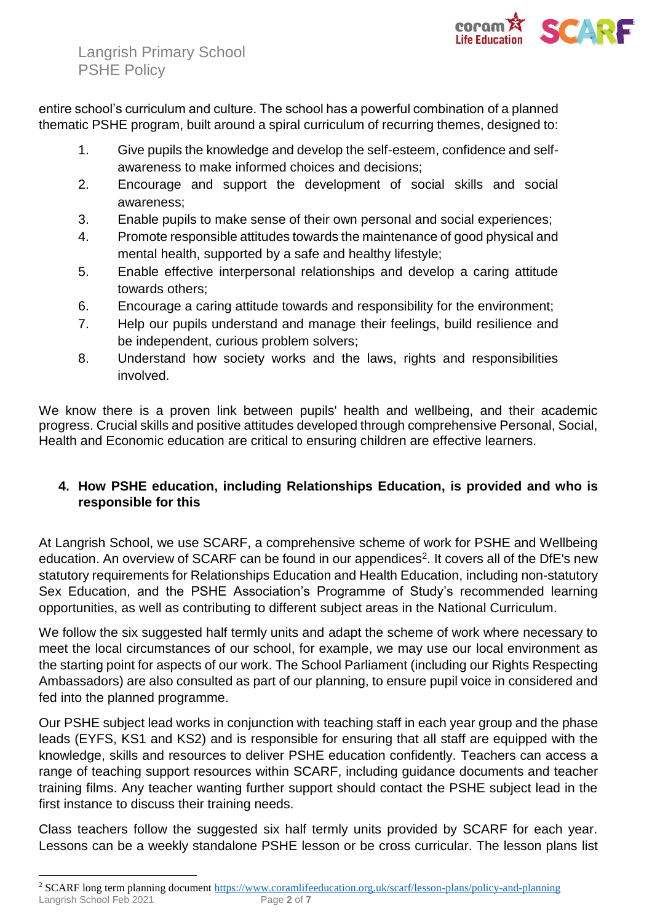

entire school's curriculum and culture. The school has a powerful combination of a planned thematic PSHE program, built around a spiral curriculum of recurring themes, designed to:

- 1. Give pupils the knowledge and develop the self-esteem, confidence and selfawareness to make informed choices and decisions;
- 2. Encourage and support the development of social skills and social awareness;
- 3. Enable pupils to make sense of their own personal and social experiences;
- 4. Promote responsible attitudes towards the maintenance of good physical and mental health, supported by a safe and healthy lifestyle;
- 5. Enable effective interpersonal relationships and develop a caring attitude towards others;
- 6. Encourage a caring attitude towards and responsibility for the environment;
- 7. Help our pupils understand and manage their feelings, build resilience and be independent, curious problem solvers;
- 8. Understand how society works and the laws, rights and responsibilities involved.

We know there is a proven link between pupils' health and wellbeing, and their academic progress. Crucial skills and positive attitudes developed through comprehensive Personal, Social, Health and Economic education are critical to ensuring children are effective learners.

# **4. How PSHE education, including Relationships Education, is provided and who is responsible for this**

At Langrish School, we use SCARF, a comprehensive scheme of work for PSHE and Wellbeing education. An overview of SCARF can be found in our appendices<sup>2</sup>. It covers all of the DfE's new statutory requirements for Relationships Education and Health Education, including non-statutory Sex Education, and the PSHE Association's Programme of Study's recommended learning opportunities, as well as contributing to different subject areas in the [National Curriculum.](https://www.coramlifeeducation.org.uk/scarf/national-curriculum/)

We follow the six suggested half termly units and adapt the scheme of work where necessary to meet the local circumstances of our school, for example, we may use our local environment as the starting point for aspects of our work. The School Parliament (including our Rights Respecting Ambassadors) are also consulted as part of our planning, to ensure pupil voice in considered and fed into the planned programme.

Our PSHE subject lead works in conjunction with teaching staff in each year group and the phase leads (EYFS, KS1 and KS2) and is responsible for ensuring that all staff are equipped with the knowledge, skills and resources to deliver PSHE education confidently. Teachers can access a range of teaching support resources within SCARF, including guidance documents and teacher training films. Any teacher wanting further support should contact the PSHE subject lead in the first instance to discuss their training needs.

Class teachers follow the suggested six half termly units provided by SCARF for each year. Lessons can be a weekly standalone PSHE lesson or be cross curricular. The lesson plans list

 $\overline{a}$ 

Langrish School Feb 2021 Page 2 of 7 <sup>2</sup> SCARF long term planning document<https://www.coramlifeeducation.org.uk/scarf/lesson-plans/policy-and-planning>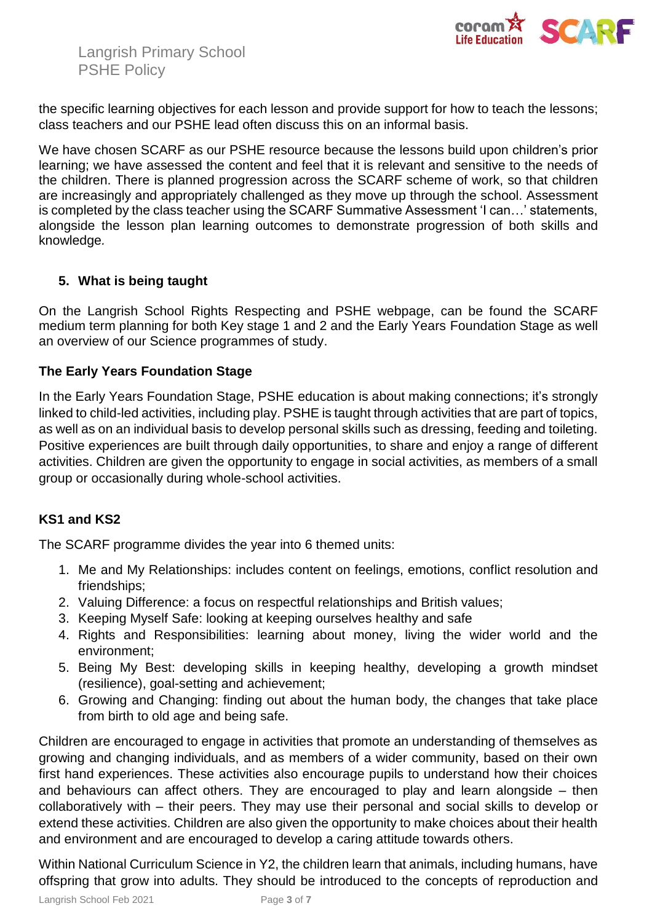

the specific learning objectives for each lesson and provide support for how to teach the lessons; class teachers and our PSHE lead often discuss this on an informal basis.

We have chosen SCARF as our PSHE resource because the lessons build upon children's prior learning; we have assessed the content and feel that it is relevant and sensitive to the needs of the children. There is planned progression across the SCARF scheme of work, so that children are increasingly and appropriately challenged as they move up through the school. Assessment is completed by the class teacher using the SCARF Summative Assessment 'I can…' statements, alongside the lesson plan learning outcomes to demonstrate progression of both skills and knowledge*.*

## **5. What is being taught**

On the Langrish School Rights Respecting and PSHE webpage, can be found the SCARF medium term planning for both Key stage 1 and 2 and the Early Years Foundation Stage as well an overview of our Science programmes of study.

## **The Early Years Foundation Stage**

In the Early Years Foundation Stage, PSHE education is about making connections; it's strongly linked to child-led activities, including play. PSHE is taught through activities that are part of topics, as well as on an individual basis to develop personal skills such as dressing, feeding and toileting. Positive experiences are built through daily opportunities, to share and enjoy a range of different activities. Children are given the opportunity to engage in social activities, as members of a small group or occasionally during whole-school activities.

## **KS1 and KS2**

The SCARF programme divides the year into 6 themed units:

- 1. Me and My Relationships: includes content on feelings, emotions, conflict resolution and friendships;
- 2. Valuing Difference: a focus on respectful relationships and British values;
- 3. Keeping Myself Safe: looking at keeping ourselves healthy and safe
- 4. Rights and Responsibilities: learning about money, living the wider world and the environment;
- 5. Being My Best: developing skills in keeping healthy, developing a growth mindset (resilience), goal-setting and achievement;
- 6. Growing and Changing: finding out about the human body, the changes that take place from birth to old age and being safe.

Children are encouraged to engage in activities that promote an understanding of themselves as growing and changing individuals, and as members of a wider community, based on their own first hand experiences. These activities also encourage pupils to understand how their choices and behaviours can affect others. They are encouraged to play and learn alongside – then collaboratively with – their peers. They may use their personal and social skills to develop or extend these activities. Children are also given the opportunity to make choices about their health and environment and are encouraged to develop a caring attitude towards others.

Within National Curriculum Science in Y2, the children learn that animals, including humans, have offspring that grow into adults. They should be introduced to the concepts of reproduction and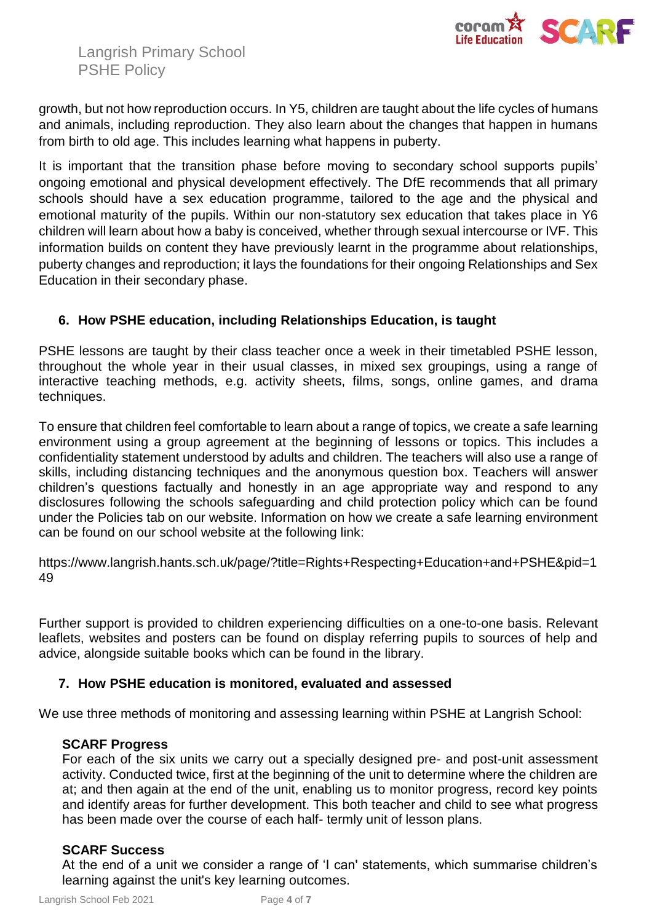

growth, but not how reproduction occurs. In Y5, children are taught about the life cycles of humans and animals, including reproduction. They also learn about the changes that happen in humans from birth to old age. This includes learning what happens in puberty.

It is important that the transition phase before moving to secondary school supports pupils' ongoing emotional and physical development effectively. The DfE recommends that all primary schools should have a sex education programme, tailored to the age and the physical and emotional maturity of the pupils. Within our non-statutory sex education that takes place in Y6 children will learn about how a baby is conceived, whether through sexual intercourse or IVF. This information builds on content they have previously learnt in the programme about relationships, puberty changes and reproduction; it lays the foundations for their ongoing Relationships and Sex Education in their secondary phase.

## **6. How PSHE education, including Relationships Education, is taught**

PSHE lessons are taught by their class teacher once a week in their timetabled PSHE lesson, throughout the whole year in their usual classes, in mixed sex groupings, using a range of interactive teaching methods, e.g. activity sheets, films, songs, online games, and drama techniques.

To ensure that children feel comfortable to learn about a range of topics, we create a safe learning environment using a group agreement at the beginning of lessons or topics. This includes a confidentiality statement understood by adults and children. The teachers will also use a range of skills, including distancing techniques and the anonymous question box. Teachers will answer children's questions factually and honestly in an age appropriate way and respond to any disclosures following the schools safeguarding and child protection policy which can be found under the Policies tab on our website. Information on how we create a safe learning environment can be found on our school website at the following link:

https://www.langrish.hants.sch.uk/page/?title=Rights+Respecting+Education+and+PSHE&pid=1 49

Further support is provided to children experiencing difficulties on a one-to-one basis. Relevant leaflets, websites and posters can be found on display referring pupils to sources of help and advice, alongside suitable books which can be found in the library.

## **7. How PSHE education is monitored, evaluated and assessed**

We use three methods of monitoring and assessing learning within PSHE at Langrish School:

#### **SCARF Progress**

For each of the six units we carry out a specially designed pre- and post-unit assessment activity. Conducted twice, first at the beginning of the unit to determine where the children are at; and then again at the end of the unit, enabling us to monitor progress, record key points and identify areas for further development. This both teacher and child to see what progress has been made over the course of each half- termly unit of lesson plans.

#### **SCARF Success**

At the end of a unit we consider a range of 'I can' statements, which summarise children's learning against the unit's key learning outcomes.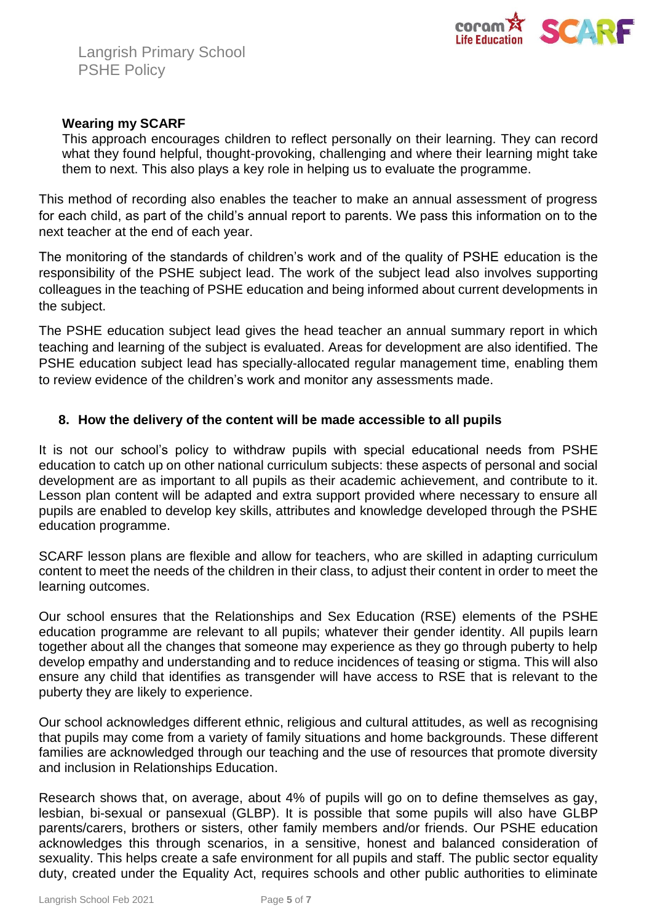

### **Wearing my SCARF**

This approach encourages children to reflect personally on their learning. They can record what they found helpful, thought-provoking, challenging and where their learning might take them to next. This also plays a key role in helping us to evaluate the programme.

This method of recording also enables the teacher to make an annual assessment of progress for each child, as part of the child's annual report to parents. We pass this information on to the next teacher at the end of each year.

The monitoring of the standards of children's work and of the quality of PSHE education is the responsibility of the PSHE subject lead. The work of the subject lead also involves supporting colleagues in the teaching of PSHE education and being informed about current developments in the subject.

The PSHE education subject lead gives the head teacher an annual summary report in which teaching and learning of the subject is evaluated. Areas for development are also identified. The PSHE education subject lead has specially-allocated regular management time, enabling them to review evidence of the children's work and monitor any assessments made.

### **8. How the delivery of the content will be made accessible to all pupils**

It is not our school's policy to withdraw pupils with special educational needs from PSHE education to catch up on other national curriculum subjects: these aspects of personal and social development are as important to all pupils as their academic achievement, and contribute to it. Lesson plan content will be adapted and extra support provided where necessary to ensure all pupils are enabled to develop key skills, attributes and knowledge developed through the PSHE education programme.

SCARF lesson plans are flexible and allow for teachers, who are skilled in adapting curriculum content to meet the needs of the children in their class, to adjust their content in order to meet the learning outcomes.

Our school ensures that the Relationships and Sex Education (RSE) elements of the PSHE education programme are relevant to all pupils; whatever their gender identity. All pupils learn together about all the changes that someone may experience as they go through puberty to help develop empathy and understanding and to reduce incidences of teasing or stigma. This will also ensure any child that identifies as transgender will have access to RSE that is relevant to the puberty they are likely to experience.

Our school acknowledges different ethnic, religious and cultural attitudes, as well as recognising that pupils may come from a variety of family situations and home backgrounds. These different families are acknowledged through our teaching and the use of resources that promote diversity and inclusion in Relationships Education.

Research shows that, on average, about 4% of pupils will go on to define themselves as gay, lesbian, bi-sexual or pansexual (GLBP). It is possible that some pupils will also have GLBP parents/carers, brothers or sisters, other family members and/or friends. Our PSHE education acknowledges this through scenarios, in a sensitive, honest and balanced consideration of sexuality. This helps create a safe environment for all pupils and staff. The public sector equality duty, created under the Equality Act, requires schools and other public authorities to eliminate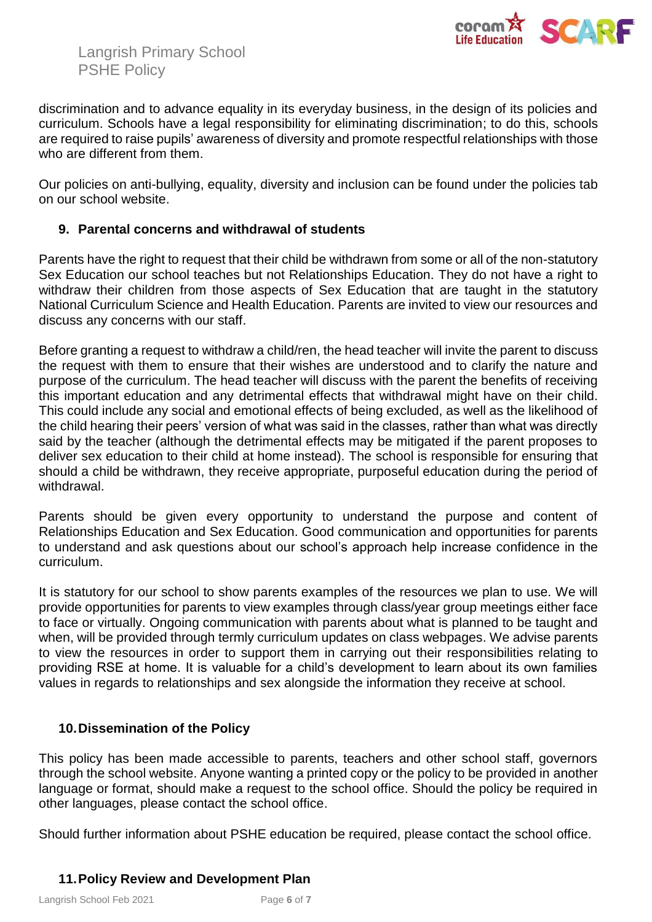

discrimination and to advance equality in its everyday business, in the design of its policies and curriculum. Schools have a legal responsibility for eliminating discrimination; to do this, schools are required to raise pupils' awareness of diversity and promote respectful relationships with those who are different from them.

Our policies on anti-bullying, equality, diversity and inclusion can be found under the policies tab on our school website.

## **9. Parental concerns and withdrawal of students**

Parents have the right to request that their child be withdrawn from some or all of the non-statutory Sex Education our school teaches but not Relationships Education. They do not have a right to withdraw their children from those aspects of Sex Education that are taught in the statutory National Curriculum Science and Health Education. Parents are invited to view our resources and discuss any concerns with our staff.

Before granting a request to withdraw a child/ren, the head teacher will invite the parent to discuss the request with them to ensure that their wishes are understood and to clarify the nature and purpose of the curriculum. The head teacher will discuss with the parent the benefits of receiving this important education and any detrimental effects that withdrawal might have on their child. This could include any social and emotional effects of being excluded, as well as the likelihood of the child hearing their peers' version of what was said in the classes, rather than what was directly said by the teacher (although the detrimental effects may be mitigated if the parent proposes to deliver sex education to their child at home instead). The school is responsible for ensuring that should a child be withdrawn, they receive appropriate, purposeful education during the period of withdrawal.

Parents should be given every opportunity to understand the purpose and content of Relationships Education and Sex Education. Good communication and opportunities for parents to understand and ask questions about our school's approach help increase confidence in the curriculum.

It is statutory for our school to show parents examples of the resources we plan to use. We will provide opportunities for parents to view examples through class/year group meetings either face to face or virtually. Ongoing communication with parents about what is planned to be taught and when, will be provided through termly curriculum updates on class webpages. We advise parents to view the resources in order to support them in carrying out their responsibilities relating to providing RSE at home. It is valuable for a child's development to learn about its own families values in regards to relationships and sex alongside the information they receive at school.

# **10.Dissemination of the Policy**

This policy has been made accessible to parents, teachers and other school staff, governors through the school website. Anyone wanting a printed copy or the policy to be provided in another language or format, should make a request to the school office. Should the policy be required in other languages, please contact the school office.

Should further information about PSHE education be required, please contact the school office.

## **11.Policy Review and Development Plan**